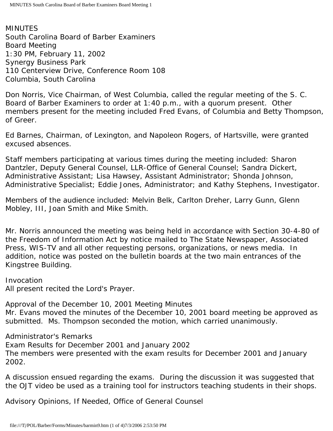MINUTES South Carolina Board of Barber Examiners Board Meeting 1:30 PM, February 11, 2002 Synergy Business Park 110 Centerview Drive, Conference Room 108 Columbia, South Carolina

Don Norris, Vice Chairman, of West Columbia, called the regular meeting of the S. C. Board of Barber Examiners to order at 1:40 p.m., with a quorum present. Other members present for the meeting included Fred Evans, of Columbia and Betty Thompson, of Greer.

Ed Barnes, Chairman, of Lexington, and Napoleon Rogers, of Hartsville, were granted excused absences.

Staff members participating at various times during the meeting included: Sharon Dantzler, Deputy General Counsel, LLR-Office of General Counsel; Sandra Dickert, Administrative Assistant; Lisa Hawsey, Assistant Administrator; Shonda Johnson, Administrative Specialist; Eddie Jones, Administrator; and Kathy Stephens, Investigator.

Members of the audience included: Melvin Belk, Carlton Dreher, Larry Gunn, Glenn Mobley, III, Joan Smith and Mike Smith.

Mr. Norris announced the meeting was being held in accordance with Section 30-4-80 of the Freedom of Information Act by notice mailed to The State Newspaper, Associated Press, WIS-TV and all other requesting persons, organizations, or news media. In addition, notice was posted on the bulletin boards at the two main entrances of the Kingstree Building.

Invocation All present recited the Lord's Prayer.

Approval of the December 10, 2001 Meeting Minutes Mr. Evans moved the minutes of the December 10, 2001 board meeting be approved as submitted. Ms. Thompson seconded the motion, which carried unanimously.

Administrator's Remarks Exam Results for December 2001 and January 2002 The members were presented with the exam results for December 2001 and January 2002.

A discussion ensued regarding the exams. During the discussion it was suggested that the OJT video be used as a training tool for instructors teaching students in their shops.

Advisory Opinions, If Needed, Office of General Counsel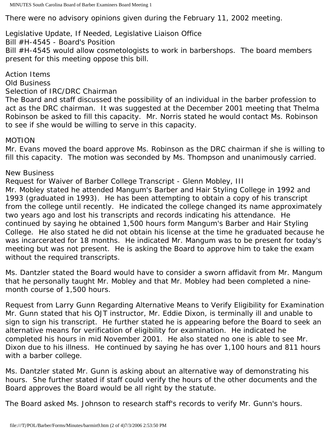There were no advisory opinions given during the February 11, 2002 meeting.

# Legislative Update, If Needed, Legislative Liaison Office

Bill #H-4545 - Board's Position

Bill #H-4545 would allow cosmetologists to work in barbershops. The board members present for this meeting oppose this bill.

## Action Items

Old Business

### Selection of IRC/DRC Chairman

The Board and staff discussed the possibility of an individual in the barber profession to act as the DRC chairman. It was suggested at the December 2001 meeting that Thelma Robinson be asked to fill this capacity. Mr. Norris stated he would contact Ms. Robinson to see if she would be willing to serve in this capacity.

### MOTION

Mr. Evans moved the board approve Ms. Robinson as the DRC chairman if she is willing to fill this capacity. The motion was seconded by Ms. Thompson and unanimously carried.

#### New Business

Request for Waiver of Barber College Transcript - Glenn Mobley, III Mr. Mobley stated he attended Mangum's Barber and Hair Styling College in 1992 and 1993 (graduated in 1993). He has been attempting to obtain a copy of his transcript from the college until recently. He indicated the college changed its name approximately two years ago and lost his transcripts and records indicating his attendance. He continued by saying he obtained 1,500 hours form Mangum's Barber and Hair Styling College. He also stated he did not obtain his license at the time he graduated because he was incarcerated for 18 months. He indicated Mr. Mangum was to be present for today's meeting but was not present. He is asking the Board to approve him to take the exam without the required transcripts.

Ms. Dantzler stated the Board would have to consider a sworn affidavit from Mr. Mangum that he personally taught Mr. Mobley and that Mr. Mobley had been completed a ninemonth course of 1,500 hours.

Request from Larry Gunn Regarding Alternative Means to Verify Eligibility for Examination Mr. Gunn stated that his OJT instructor, Mr. Eddie Dixon, is terminally ill and unable to sign to sign his transcript. He further stated he is appearing before the Board to seek an alternative means for verification of eligibility for examination. He indicated he completed his hours in mid November 2001. He also stated no one is able to see Mr. Dixon due to his illness. He continued by saying he has over 1,100 hours and 811 hours with a barber college.

Ms. Dantzler stated Mr. Gunn is asking about an alternative way of demonstrating his hours. She further stated if staff could verify the hours of the other documents and the Board approves the Board would be all right by the statute.

The Board asked Ms. Johnson to research staff's records to verify Mr. Gunn's hours.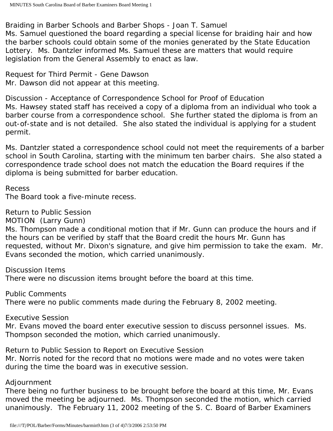Braiding in Barber Schools and Barber Shops - Joan T. Samuel

Ms. Samuel questioned the board regarding a special license for braiding hair and how the barber schools could obtain some of the monies generated by the State Education Lottery. Ms. Dantzler informed Ms. Samuel these are matters that would require legislation from the General Assembly to enact as law.

Request for Third Permit - Gene Dawson Mr. Dawson did not appear at this meeting.

Discussion - Acceptance of Correspondence School for Proof of Education Ms. Hawsey stated staff has received a copy of a diploma from an individual who took a barber course from a correspondence school. She further stated the diploma is from an out-of-state and is not detailed. She also stated the individual is applying for a student permit.

Ms. Dantzler stated a correspondence school could not meet the requirements of a barber school in South Carolina, starting with the minimum ten barber chairs. She also stated a correspondence trade school does not match the education the Board requires if the diploma is being submitted for barber education.

Recess

The Board took a five-minute recess.

Return to Public Session

MOTION (Larry Gunn)

Ms. Thompson made a conditional motion that if Mr. Gunn can produce the hours and if the hours can be verified by staff that the Board credit the hours Mr. Gunn has requested, without Mr. Dixon's signature, and give him permission to take the exam. Mr. Evans seconded the motion, which carried unanimously.

Discussion Items There were no discussion items brought before the board at this time.

Public Comments There were no public comments made during the February 8, 2002 meeting.

Executive Session

Mr. Evans moved the board enter executive session to discuss personnel issues. Ms. Thompson seconded the motion, which carried unanimously.

Return to Public Session to Report on Executive Session Mr. Norris noted for the record that no motions were made and no votes were taken during the time the board was in executive session.

### Adjournment

There being no further business to be brought before the board at this time, Mr. Evans moved the meeting be adjourned. Ms. Thompson seconded the motion, which carried unanimously. The February 11, 2002 meeting of the S. C. Board of Barber Examiners